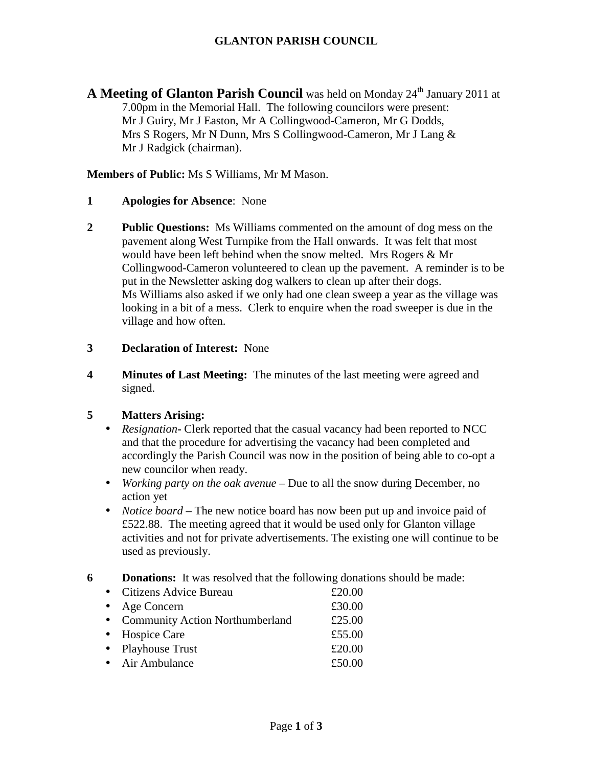# **GLANTON PARISH COUNCIL**

**A Meeting of Glanton Parish Council** was held on Monday 24<sup>th</sup> January 2011 at 7.00pm in the Memorial Hall. The following councilors were present: Mr J Guiry, Mr J Easton, Mr A Collingwood-Cameron, Mr G Dodds, Mrs S Rogers, Mr N Dunn, Mrs S Collingwood-Cameron, Mr J Lang & Mr J Radgick (chairman).

**Members of Public:** Ms S Williams, Mr M Mason.

- **1 Apologies for Absence**: None
- **2 Public Questions:** Ms Williams commented on the amount of dog mess on the pavement along West Turnpike from the Hall onwards. It was felt that most would have been left behind when the snow melted. Mrs Rogers & Mr Collingwood-Cameron volunteered to clean up the pavement. A reminder is to be put in the Newsletter asking dog walkers to clean up after their dogs. Ms Williams also asked if we only had one clean sweep a year as the village was looking in a bit of a mess.Clerk to enquire when the road sweeper is due in the village and how often.

#### **3 Declaration of Interest:** None

**4 Minutes of Last Meeting:** The minutes of the last meeting were agreed and signed.

## **5 Matters Arising:**

- *Resignation* Clerk reported that the casual vacancy had been reported to NCC and that the procedure for advertising the vacancy had been completed and accordingly the Parish Council was now in the position of being able to co-opt a new councilor when ready.
- *Working party on the oak avenue* Due to all the snow during December, no action yet
- *Notice board* The new notice board has now been put up and invoice paid of £522.88. The meeting agreed that it would be used only for Glanton village activities and not for private advertisements. The existing one will continue to be used as previously.

**6 Donations:** It was resolved that the following donations should be made:

• Citizens Advice Bureau  $£20.00$ • Age Concern  $\text{\pounds}30.00$ • Community Action Northumberland £25.00 • Hospice Care **£55.00** • Playhouse Trust £20.00 • Air Ambulance  $£50.00$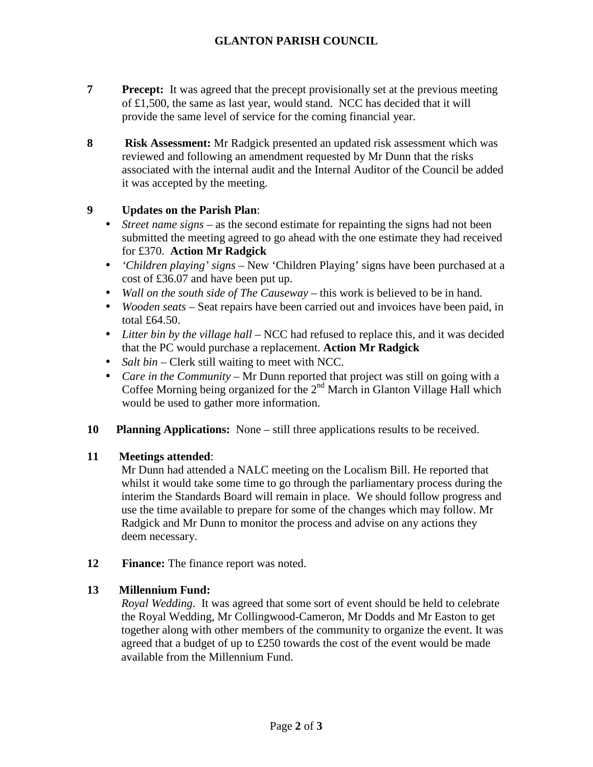- **Precept:** It was agreed that the precept provisionally set at the previous meeting of £1,500, the same as last year, would stand. NCC has decided that it will provide the same level of service for the coming financial year.
- **8 Risk Assessment:** Mr Radgick presented an updated risk assessment which was reviewed and following an amendment requested by Mr Dunn that the risks associated with the internal audit and the Internal Auditor of the Council be added it was accepted by the meeting.

## **9 Updates on the Parish Plan**:

- *Street name signs* as the second estimate for repainting the signs had not been submitted the meeting agreed to go ahead with the one estimate they had received for £370. **Action Mr Radgick**
- *'Children playing' signs* New 'Children Playing' signs have been purchased at a cost of £36.07 and have been put up.
- *Wall on the south side of The Causeway* this work is believed to be in hand.
- *Wooden seats* Seat repairs have been carried out and invoices have been paid, in total £64.50.
- *Litter bin by the village hall* NCC had refused to replace this, and it was decided that the PC would purchase a replacement. **Action Mr Radgick**
- *Salt bin –* Clerk still waiting to meet with NCC.
- *Care in the Community –* Mr Dunn reported that project was still on going with a Coffee Morning being organized for the  $2<sup>nd</sup>$  March in Glanton Village Hall which would be used to gather more information.
- **10 Planning Applications:** None still three applications results to be received.

## **11 Meetings attended**:

Mr Dunn had attended a NALC meeting on the Localism Bill. He reported that whilst it would take some time to go through the parliamentary process during the interim the Standards Board will remain in place. We should follow progress and use the time available to prepare for some of the changes which may follow. Mr Radgick and Mr Dunn to monitor the process and advise on any actions they deem necessary.

**12 Finance:** The finance report was noted.

## **13 Millennium Fund:**

*Royal Wedding*. It was agreed that some sort of event should be held to celebrate the Royal Wedding, Mr Collingwood-Cameron, Mr Dodds and Mr Easton to get together along with other members of the community to organize the event. It was agreed that a budget of up to £250 towards the cost of the event would be made available from the Millennium Fund.